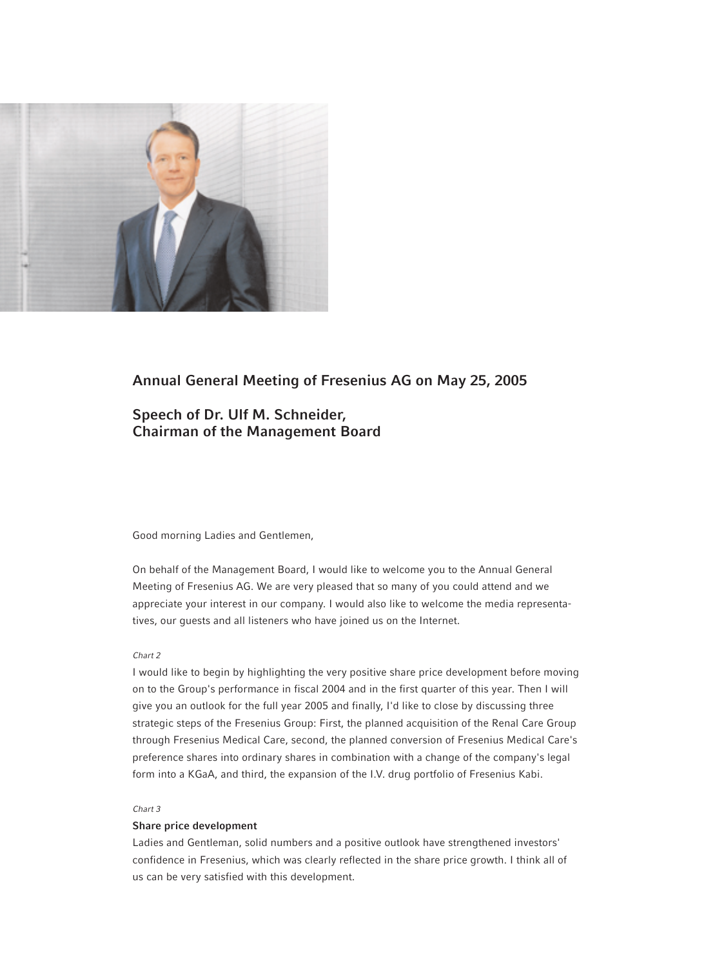

## **Annual General Meeting of Fresenius AG on May 25, 2005**

# **Speech of Dr. Ulf M. Schneider, Chairman of the Management Board**

## Good morning Ladies and Gentlemen,

On behalf of the Management Board, I would like to welcome you to the Annual General Meeting of Fresenius AG. We are very pleased that so many of you could attend and we appreciate your interest in our company. I would also like to welcome the media representatives, our guests and all listeners who have joined us on the Internet.

## *Chart 2*

I would like to begin by highlighting the very positive share price development before moving on to the Group's performance in fiscal 2004 and in the first quarter of this year. Then I will give you an outlook for the full year 2005 and finally, I'd like to close by discussing three strategic steps of the Fresenius Group: First, the planned acquisition of the Renal Care Group through Fresenius Medical Care, second, the planned conversion of Fresenius Medical Care's preference shares into ordinary shares in combination with a change of the company's legal form into a KGaA, and third, the expansion of the I.V. drug portfolio of Fresenius Kabi.

## *Chart 3*

## **Share price development**

Ladies and Gentleman, solid numbers and a positive outlook have strengthened investors' confidence in Fresenius, which was clearly reflected in the share price growth. I think all of us can be very satisfied with this development.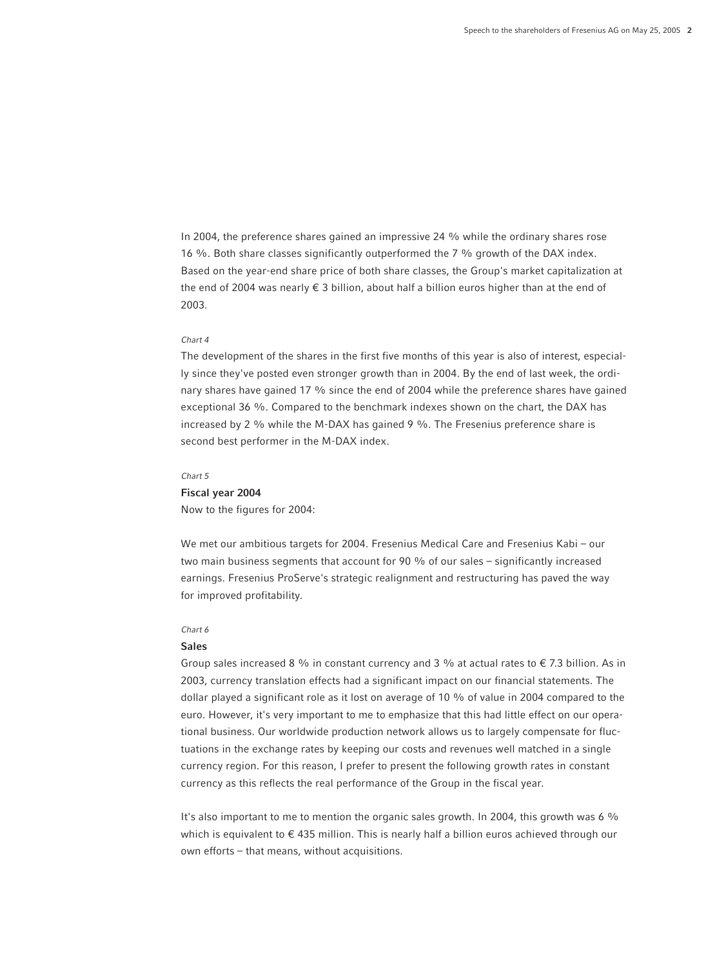In 2004, the preference shares gained an impressive 24 % while the ordinary shares rose 16 %. Both share classes significantly outperformed the 7 % growth of the DAX index. Based on the year-end share price of both share classes, the Group's market capitalization at the end of 2004 was nearly  $\epsilon$  3 billion, about half a billion euros higher than at the end of 2003.

## *Chart 4*

The development of the shares in the first five months of this year is also of interest, especially since they've posted even stronger growth than in 2004. By the end of last week, the ordinary shares have gained 17 % since the end of 2004 while the preference shares have gained exceptional 36 %. Compared to the benchmark indexes shown on the chart, the DAX has increased by 2 % while the M-DAX has gained 9 %. The Fresenius preference share is second best performer in the M-DAX index.

## *Chart 5*

## **Fiscal year 2004**

Now to the figures for 2004:

We met our ambitious targets for 2004. Fresenius Medical Care and Fresenius Kabi – our two main business segments that account for 90 % of our sales – significantly increased earnings. Fresenius ProServe's strategic realignment and restructuring has paved the way for improved profitability.

## *Chart 6*

## **Sales**

Group sales increased 8 % in constant currency and 3 % at actual rates to  $\epsilon$  7.3 billion. As in 2003, currency translation effects had a significant impact on our financial statements. The dollar played a significant role as it lost on average of 10 % of value in 2004 compared to the euro. However, it's very important to me to emphasize that this had little effect on our operational business. Our worldwide production network allows us to largely compensate for fluctuations in the exchange rates by keeping our costs and revenues well matched in a single currency region. For this reason, I prefer to present the following growth rates in constant currency as this reflects the real performance of the Group in the fiscal year.

It's also important to me to mention the organic sales growth. In 2004, this growth was 6 % which is equivalent to  $\epsilon$  435 million. This is nearly half a billion euros achieved through our own efforts – that means, without acquisitions.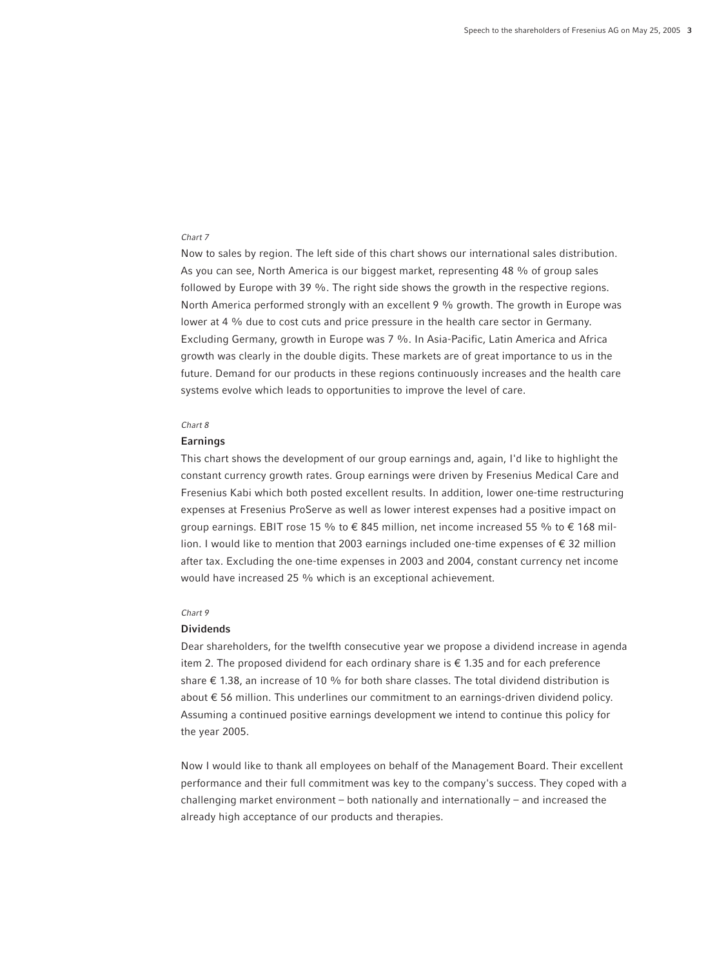Now to sales by region. The left side of this chart shows our international sales distribution. As you can see, North America is our biggest market, representing 48 % of group sales followed by Europe with 39 %. The right side shows the growth in the respective regions. North America performed strongly with an excellent 9 % growth. The growth in Europe was lower at 4 % due to cost cuts and price pressure in the health care sector in Germany. Excluding Germany, growth in Europe was 7 %. In Asia-Pacific, Latin America and Africa growth was clearly in the double digits. These markets are of great importance to us in the future. Demand for our products in these regions continuously increases and the health care systems evolve which leads to opportunities to improve the level of care.

## *Chart 8*

#### **Earnings**

This chart shows the development of our group earnings and, again, I'd like to highlight the constant currency growth rates. Group earnings were driven by Fresenius Medical Care and Fresenius Kabi which both posted excellent results. In addition, lower one-time restructuring expenses at Fresenius ProServe as well as lower interest expenses had a positive impact on group earnings. EBIT rose 15 % to  $\epsilon$  845 million, net income increased 55 % to  $\epsilon$  168 million. I would like to mention that 2003 earnings included one-time expenses of € 32 million after tax. Excluding the one-time expenses in 2003 and 2004, constant currency net income would have increased 25 % which is an exceptional achievement.

#### *Chart 9*

## **Dividends**

Dear shareholders, for the twelfth consecutive year we propose a dividend increase in agenda item 2. The proposed dividend for each ordinary share is  $\epsilon$  1.35 and for each preference share  $\epsilon$  1.38, an increase of 10 % for both share classes. The total dividend distribution is about € 56 million. This underlines our commitment to an earnings-driven dividend policy. Assuming a continued positive earnings development we intend to continue this policy for the year 2005.

Now I would like to thank all employees on behalf of the Management Board. Their excellent performance and their full commitment was key to the company's success. They coped with a challenging market environment – both nationally and internationally – and increased the already high acceptance of our products and therapies.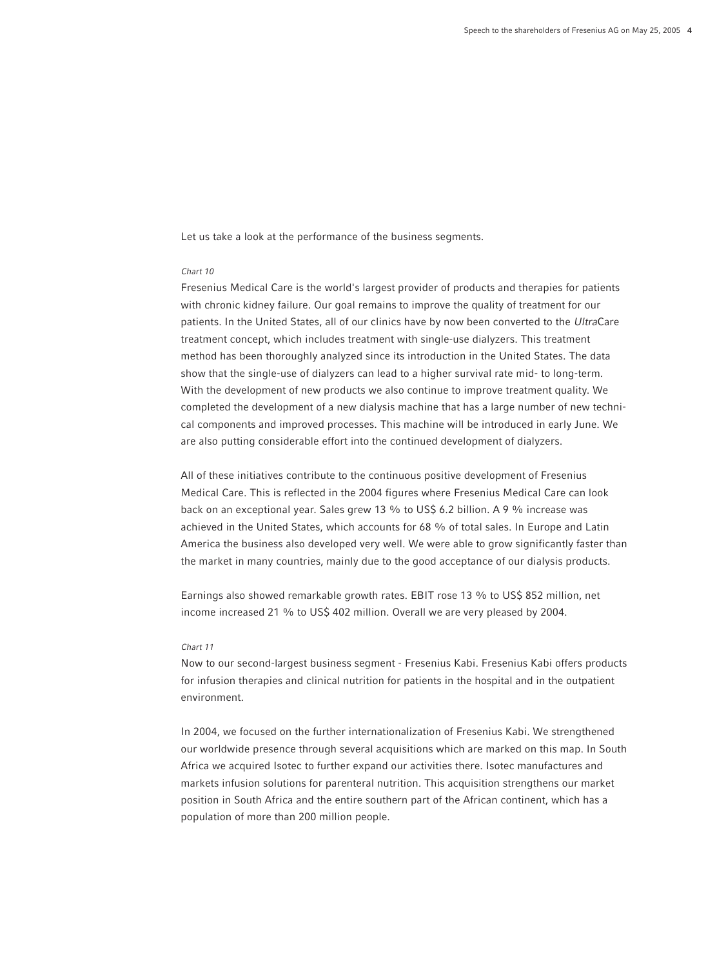Let us take a look at the performance of the business segments.

#### *Chart 10*

Fresenius Medical Care is the world's largest provider of products and therapies for patients with chronic kidney failure. Our goal remains to improve the quality of treatment for our patients. In the United States, all of our clinics have by now been converted to the *Ultra*Care treatment concept, which includes treatment with single-use dialyzers. This treatment method has been thoroughly analyzed since its introduction in the United States. The data show that the single-use of dialyzers can lead to a higher survival rate mid- to long-term. With the development of new products we also continue to improve treatment quality. We completed the development of a new dialysis machine that has a large number of new technical components and improved processes. This machine will be introduced in early June. We are also putting considerable effort into the continued development of dialyzers.

All of these initiatives contribute to the continuous positive development of Fresenius Medical Care. This is reflected in the 2004 figures where Fresenius Medical Care can look back on an exceptional year. Sales grew 13 % to US\$ 6.2 billion. A 9 % increase was achieved in the United States, which accounts for 68 % of total sales. In Europe and Latin America the business also developed very well. We were able to grow significantly faster than the market in many countries, mainly due to the good acceptance of our dialysis products.

Earnings also showed remarkable growth rates. EBIT rose 13 % to US\$ 852 million, net income increased 21 % to US\$ 402 million. Overall we are very pleased by 2004.

## *Chart 11*

Now to our second-largest business segment - Fresenius Kabi. Fresenius Kabi offers products for infusion therapies and clinical nutrition for patients in the hospital and in the outpatient environment.

In 2004, we focused on the further internationalization of Fresenius Kabi. We strengthened our worldwide presence through several acquisitions which are marked on this map. In South Africa we acquired Isotec to further expand our activities there. Isotec manufactures and markets infusion solutions for parenteral nutrition. This acquisition strengthens our market position in South Africa and the entire southern part of the African continent, which has a population of more than 200 million people.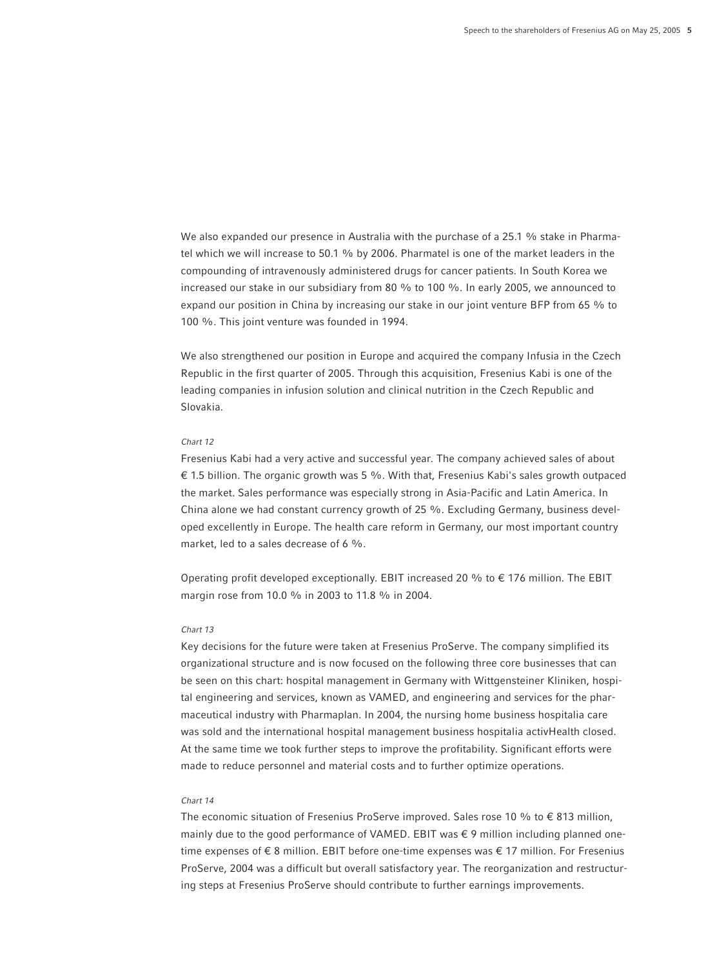We also expanded our presence in Australia with the purchase of a 25.1 % stake in Pharmatel which we will increase to 50.1 % by 2006. Pharmatel is one of the market leaders in the compounding of intravenously administered drugs for cancer patients. In South Korea we increased our stake in our subsidiary from 80 % to 100 %. In early 2005, we announced to expand our position in China by increasing our stake in our joint venture BFP from 65 % to 100 %. This joint venture was founded in 1994.

We also strengthened our position in Europe and acquired the company Infusia in the Czech Republic in the first quarter of 2005. Through this acquisition, Fresenius Kabi is one of the leading companies in infusion solution and clinical nutrition in the Czech Republic and Slovakia.

## *Chart 12*

Fresenius Kabi had a very active and successful year. The company achieved sales of about  $€$  1.5 billion. The organic growth was 5 %. With that, Fresenius Kabi's sales growth outpaced the market. Sales performance was especially strong in Asia-Pacific and Latin America. In China alone we had constant currency growth of 25 %. Excluding Germany, business developed excellently in Europe. The health care reform in Germany, our most important country market, led to a sales decrease of 6 %.

Operating profit developed exceptionally. EBIT increased 20 % to  $\epsilon$  176 million. The EBIT margin rose from 10.0 % in 2003 to 11.8 % in 2004.

## *Chart 13*

Key decisions for the future were taken at Fresenius ProServe. The company simplified its organizational structure and is now focused on the following three core businesses that can be seen on this chart: hospital management in Germany with Wittgensteiner Kliniken, hospital engineering and services, known as VAMED, and engineering and services for the pharmaceutical industry with Pharmaplan. In 2004, the nursing home business hospitalia care was sold and the international hospital management business hospitalia activHealth closed. At the same time we took further steps to improve the profitability. Significant efforts were made to reduce personnel and material costs and to further optimize operations.

#### *Chart 14*

The economic situation of Fresenius ProServe improved. Sales rose 10 % to  $\epsilon$  813 million, mainly due to the good performance of VAMED. EBIT was  $\epsilon$  9 million including planned onetime expenses of € 8 million. EBIT before one-time expenses was € 17 million. For Fresenius ProServe, 2004 was a difficult but overall satisfactory year. The reorganization and restructuring steps at Fresenius ProServe should contribute to further earnings improvements.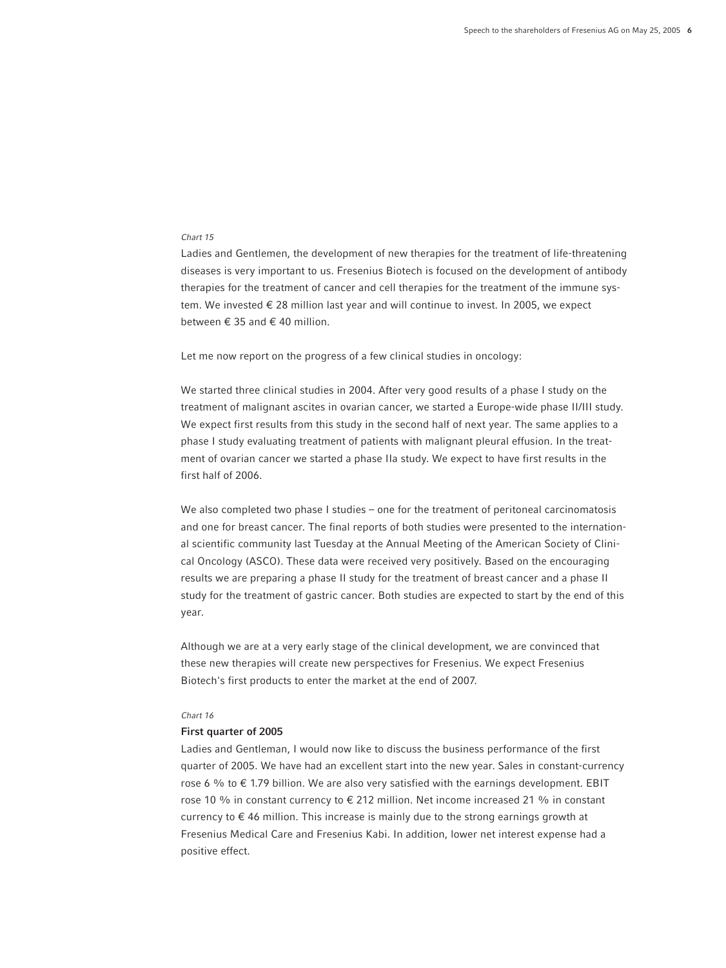Ladies and Gentlemen, the development of new therapies for the treatment of life-threatening diseases is very important to us. Fresenius Biotech is focused on the development of antibody therapies for the treatment of cancer and cell therapies for the treatment of the immune system. We invested € 28 million last year and will continue to invest. In 2005, we expect between € 35 and € 40 million.

Let me now report on the progress of a few clinical studies in oncology:

We started three clinical studies in 2004. After very good results of a phase I study on the treatment of malignant ascites in ovarian cancer, we started a Europe-wide phase II/III study. We expect first results from this study in the second half of next year. The same applies to a phase I study evaluating treatment of patients with malignant pleural effusion. In the treatment of ovarian cancer we started a phase IIa study. We expect to have first results in the first half of 2006.

We also completed two phase I studies – one for the treatment of peritoneal carcinomatosis and one for breast cancer. The final reports of both studies were presented to the international scientific community last Tuesday at the Annual Meeting of the American Society of Clinical Oncology (ASCO). These data were received very positively. Based on the encouraging results we are preparing a phase II study for the treatment of breast cancer and a phase II study for the treatment of gastric cancer. Both studies are expected to start by the end of this year.

Although we are at a very early stage of the clinical development, we are convinced that these new therapies will create new perspectives for Fresenius. We expect Fresenius Biotech's first products to enter the market at the end of 2007.

## *Chart 16*

## **First quarter of 2005**

Ladies and Gentleman, I would now like to discuss the business performance of the first quarter of 2005. We have had an excellent start into the new year. Sales in constant-currency rose 6 % to  $\epsilon$  1.79 billion. We are also very satisfied with the earnings development. EBIT rose 10 % in constant currency to  $\epsilon$  212 million. Net income increased 21 % in constant currency to € 46 million. This increase is mainly due to the strong earnings growth at Fresenius Medical Care and Fresenius Kabi. In addition, lower net interest expense had a positive effect.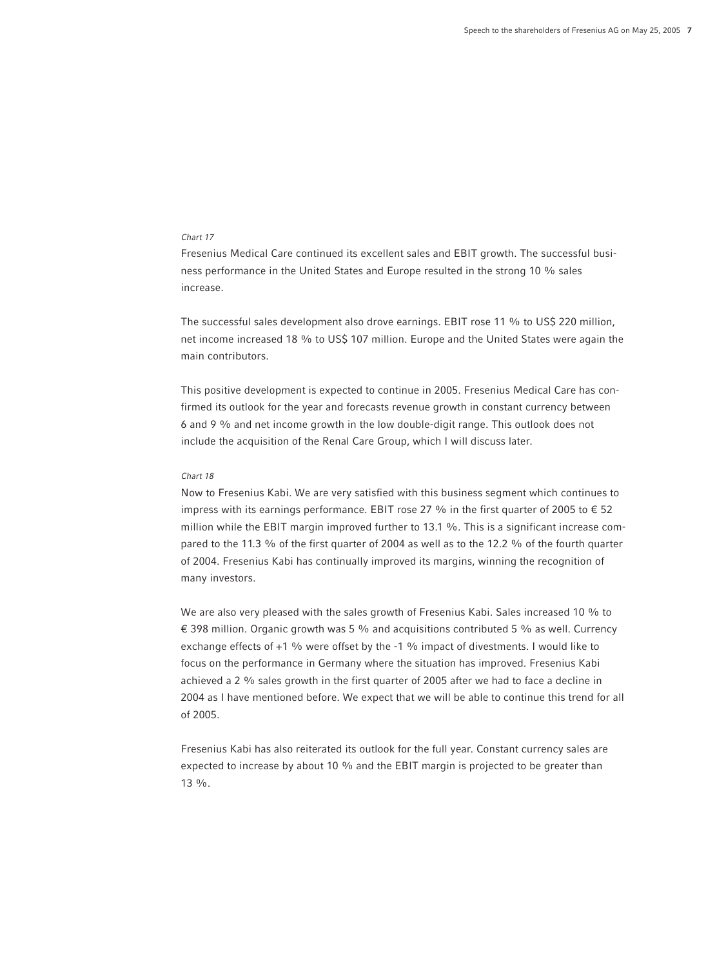Fresenius Medical Care continued its excellent sales and EBIT growth. The successful business performance in the United States and Europe resulted in the strong 10 % sales increase.

The successful sales development also drove earnings. EBIT rose 11 % to US\$ 220 million, net income increased 18 % to US\$ 107 million. Europe and the United States were again the main contributors.

This positive development is expected to continue in 2005. Fresenius Medical Care has confirmed its outlook for the year and forecasts revenue growth in constant currency between 6 and 9 % and net income growth in the low double-digit range. This outlook does not include the acquisition of the Renal Care Group, which I will discuss later.

## *Chart 18*

Now to Fresenius Kabi. We are very satisfied with this business segment which continues to impress with its earnings performance. EBIT rose 27 % in the first quarter of 2005 to  $\epsilon$  52 million while the EBIT margin improved further to 13.1 %. This is a significant increase compared to the 11.3 % of the first quarter of 2004 as well as to the 12.2 % of the fourth quarter of 2004. Fresenius Kabi has continually improved its margins, winning the recognition of many investors.

We are also very pleased with the sales growth of Fresenius Kabi. Sales increased 10 % to € 398 million. Organic growth was 5 % and acquisitions contributed 5 % as well. Currency exchange effects of +1 % were offset by the -1 % impact of divestments. I would like to focus on the performance in Germany where the situation has improved. Fresenius Kabi achieved a 2 % sales growth in the first quarter of 2005 after we had to face a decline in 2004 as I have mentioned before. We expect that we will be able to continue this trend for all of 2005.

Fresenius Kabi has also reiterated its outlook for the full year. Constant currency sales are expected to increase by about 10 % and the EBIT margin is projected to be greater than 13 %.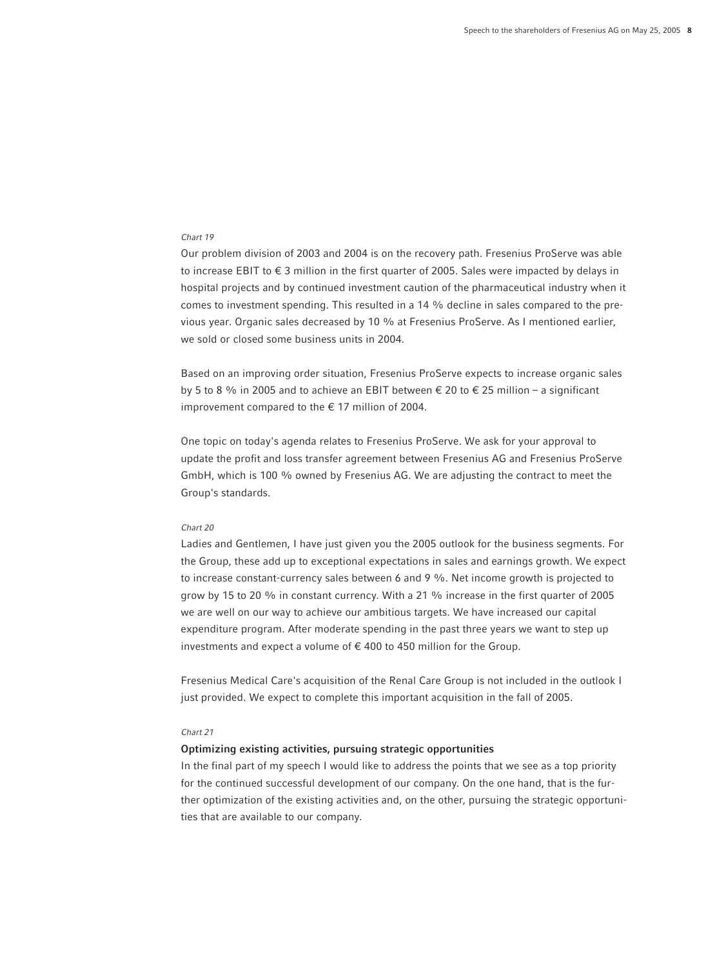Our problem division of 2003 and 2004 is on the recovery path. Fresenius ProServe was able to increase EBIT to  $\epsilon$  3 million in the first quarter of 2005. Sales were impacted by delays in hospital projects and by continued investment caution of the pharmaceutical industry when it comes to investment spending. This resulted in a 14 % decline in sales compared to the previous year. Organic sales decreased by 10 % at Fresenius ProServe. As I mentioned earlier, we sold or closed some business units in 2004.

Based on an improving order situation, Fresenius ProServe expects to increase organic sales by 5 to 8 % in 2005 and to achieve an EBIT between  $\epsilon$  20 to  $\epsilon$  25 million – a significant improvement compared to the  $\epsilon$  17 million of 2004.

One topic on today's agenda relates to Fresenius ProServe. We ask for your approval to update the profit and loss transfer agreement between Fresenius AG and Fresenius ProServe GmbH, which is 100 % owned by Fresenius AG. We are adjusting the contract to meet the Group's standards.

## *Chart 20*

Ladies and Gentlemen, I have just given you the 2005 outlook for the business segments. For the Group, these add up to exceptional expectations in sales and earnings growth. We expect to increase constant-currency sales between 6 and 9 %. Net income growth is projected to grow by 15 to 20 % in constant currency. With a 21 % increase in the first quarter of 2005 we are well on our way to achieve our ambitious targets. We have increased our capital expenditure program. After moderate spending in the past three years we want to step up investments and expect a volume of  $\epsilon$  400 to 450 million for the Group.

Fresenius Medical Care's acquisition of the Renal Care Group is not included in the outlook I just provided. We expect to complete this important acquisition in the fall of 2005.

## *Chart 21*

## **Optimizing existing activities, pursuing strategic opportunities**

In the final part of my speech I would like to address the points that we see as a top priority for the continued successful development of our company. On the one hand, that is the further optimization of the existing activities and, on the other, pursuing the strategic opportunities that are available to our company.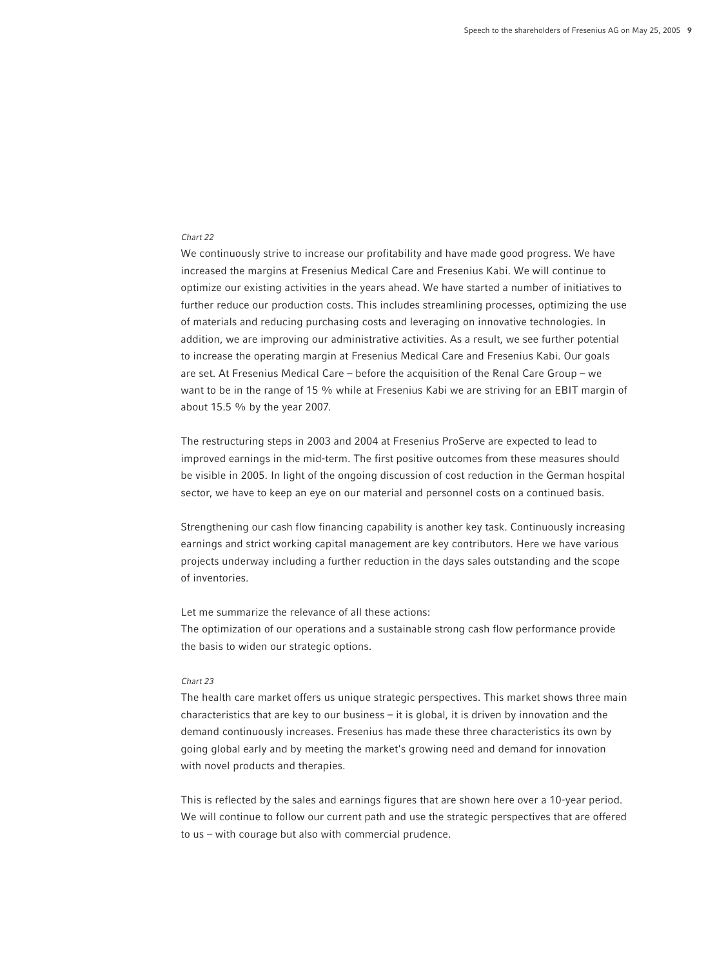We continuously strive to increase our profitability and have made good progress. We have increased the margins at Fresenius Medical Care and Fresenius Kabi. We will continue to optimize our existing activities in the years ahead. We have started a number of initiatives to further reduce our production costs. This includes streamlining processes, optimizing the use of materials and reducing purchasing costs and leveraging on innovative technologies. In addition, we are improving our administrative activities. As a result, we see further potential to increase the operating margin at Fresenius Medical Care and Fresenius Kabi. Our goals are set. At Fresenius Medical Care – before the acquisition of the Renal Care Group – we want to be in the range of 15 % while at Fresenius Kabi we are striving for an EBIT margin of about 15.5 % by the year 2007.

The restructuring steps in 2003 and 2004 at Fresenius ProServe are expected to lead to improved earnings in the mid-term. The first positive outcomes from these measures should be visible in 2005. In light of the ongoing discussion of cost reduction in the German hospital sector, we have to keep an eye on our material and personnel costs on a continued basis.

Strengthening our cash flow financing capability is another key task. Continuously increasing earnings and strict working capital management are key contributors. Here we have various projects underway including a further reduction in the days sales outstanding and the scope of inventories.

Let me summarize the relevance of all these actions:

The optimization of our operations and a sustainable strong cash flow performance provide the basis to widen our strategic options.

## *Chart 23*

The health care market offers us unique strategic perspectives. This market shows three main characteristics that are key to our business – it is global, it is driven by innovation and the demand continuously increases. Fresenius has made these three characteristics its own by going global early and by meeting the market's growing need and demand for innovation with novel products and therapies.

This is reflected by the sales and earnings figures that are shown here over a 10-year period. We will continue to follow our current path and use the strategic perspectives that are offered to us – with courage but also with commercial prudence.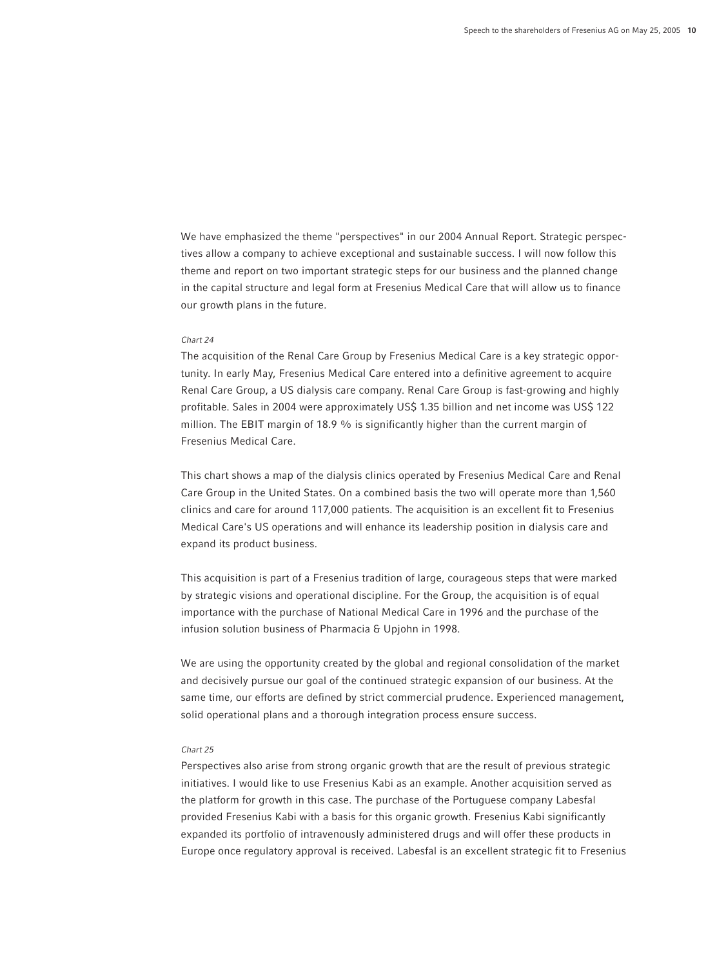We have emphasized the theme "perspectives" in our 2004 Annual Report. Strategic perspectives allow a company to achieve exceptional and sustainable success. I will now follow this theme and report on two important strategic steps for our business and the planned change in the capital structure and legal form at Fresenius Medical Care that will allow us to finance our growth plans in the future.

#### *Chart 24*

The acquisition of the Renal Care Group by Fresenius Medical Care is a key strategic opportunity. In early May, Fresenius Medical Care entered into a definitive agreement to acquire Renal Care Group, a US dialysis care company. Renal Care Group is fast-growing and highly profitable. Sales in 2004 were approximately US\$ 1.35 billion and net income was US\$ 122 million. The EBIT margin of 18.9 % is significantly higher than the current margin of Fresenius Medical Care.

This chart shows a map of the dialysis clinics operated by Fresenius Medical Care and Renal Care Group in the United States. On a combined basis the two will operate more than 1,560 clinics and care for around 117,000 patients. The acquisition is an excellent fit to Fresenius Medical Care's US operations and will enhance its leadership position in dialysis care and expand its product business.

This acquisition is part of a Fresenius tradition of large, courageous steps that were marked by strategic visions and operational discipline. For the Group, the acquisition is of equal importance with the purchase of National Medical Care in 1996 and the purchase of the infusion solution business of Pharmacia & Upjohn in 1998.

We are using the opportunity created by the global and regional consolidation of the market and decisively pursue our goal of the continued strategic expansion of our business. At the same time, our efforts are defined by strict commercial prudence. Experienced management, solid operational plans and a thorough integration process ensure success.

## *Chart 25*

Perspectives also arise from strong organic growth that are the result of previous strategic initiatives. I would like to use Fresenius Kabi as an example. Another acquisition served as the platform for growth in this case. The purchase of the Portuguese company Labesfal provided Fresenius Kabi with a basis for this organic growth. Fresenius Kabi significantly expanded its portfolio of intravenously administered drugs and will offer these products in Europe once regulatory approval is received. Labesfal is an excellent strategic fit to Fresenius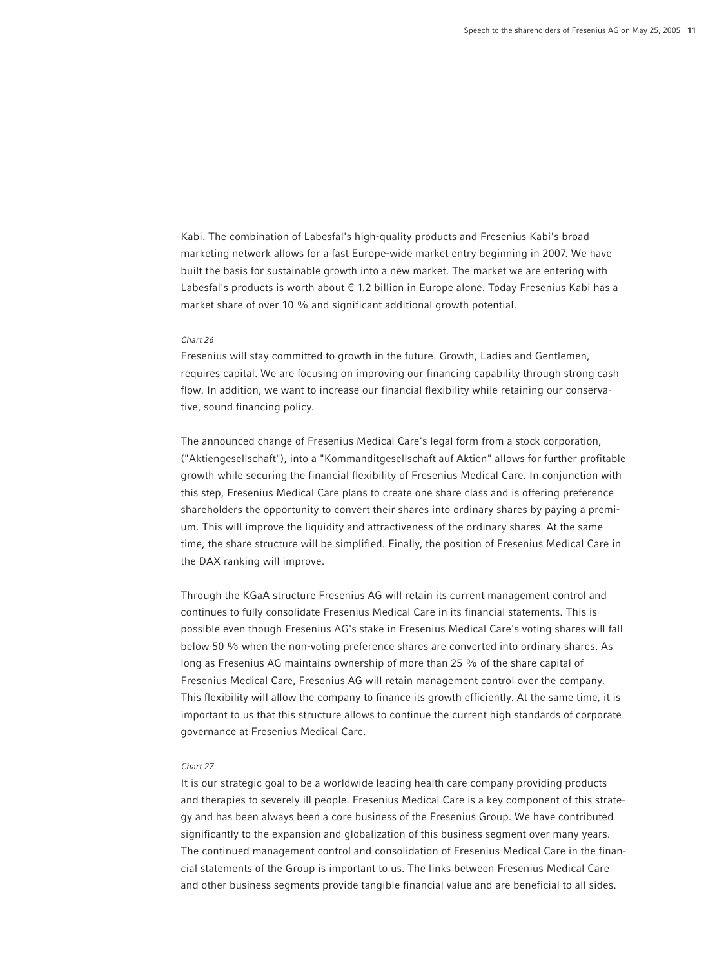Kabi. The combination of Labesfal's high-quality products and Fresenius Kabi's broad marketing network allows for a fast Europe-wide market entry beginning in 2007. We have built the basis for sustainable growth into a new market. The market we are entering with Labesfal's products is worth about € 1.2 billion in Europe alone. Today Fresenius Kabi has a market share of over 10 % and significant additional growth potential.

#### *Chart 26*

Fresenius will stay committed to growth in the future. Growth, Ladies and Gentlemen, requires capital. We are focusing on improving our financing capability through strong cash flow. In addition, we want to increase our financial flexibility while retaining our conservative, sound financing policy.

The announced change of Fresenius Medical Care's legal form from a stock corporation, ("Aktiengesellschaft"), into a "Kommanditgesellschaft auf Aktien" allows for further profitable growth while securing the financial flexibility of Fresenius Medical Care. In conjunction with this step, Fresenius Medical Care plans to create one share class and is offering preference shareholders the opportunity to convert their shares into ordinary shares by paying a premium. This will improve the liquidity and attractiveness of the ordinary shares. At the same time, the share structure will be simplified. Finally, the position of Fresenius Medical Care in the DAX ranking will improve.

Through the KGaA structure Fresenius AG will retain its current management control and continues to fully consolidate Fresenius Medical Care in its financial statements. This is possible even though Fresenius AG's stake in Fresenius Medical Care's voting shares will fall below 50 % when the non-voting preference shares are converted into ordinary shares. As long as Fresenius AG maintains ownership of more than 25 % of the share capital of Fresenius Medical Care, Fresenius AG will retain management control over the company. This flexibility will allow the company to finance its growth efficiently. At the same time, it is important to us that this structure allows to continue the current high standards of corporate governance at Fresenius Medical Care.

## *Chart 27*

It is our strategic goal to be a worldwide leading health care company providing products and therapies to severely ill people. Fresenius Medical Care is a key component of this strategy and has been always been a core business of the Fresenius Group. We have contributed significantly to the expansion and globalization of this business segment over many years. The continued management control and consolidation of Fresenius Medical Care in the financial statements of the Group is important to us. The links between Fresenius Medical Care and other business segments provide tangible financial value and are beneficial to all sides.